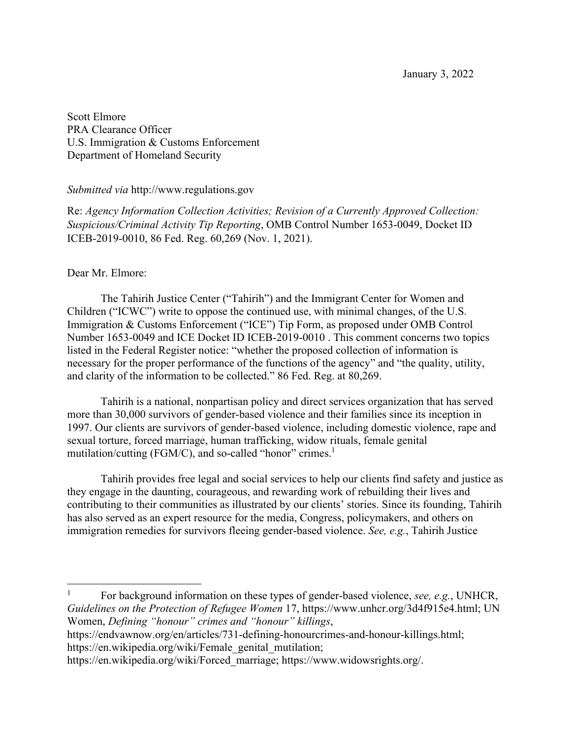January 3, 2022

Scott Elmore PRA Clearance Officer U.S. Immigration & Customs Enforcement Department of Homeland Security

## *Submitted via* http://www.regulations.gov

Re: *Agency Information Collection Activities; Revision of a Currently Approved Collection: Suspicious/Criminal Activity Tip Reporting*, OMB Control Number 1653-0049, Docket ID ICEB-2019-0010, 86 Fed. Reg. 60,269 (Nov. 1, 2021).

## Dear Mr. Elmore:

The Tahirih Justice Center ("Tahirih") and the Immigrant Center for Women and Children ("ICWC") write to oppose the continued use, with minimal changes, of the U.S. Immigration & Customs Enforcement ("ICE") Tip Form, as proposed under OMB Control Number 1653-0049 and ICE Docket ID ICEB-2019-0010 . This comment concerns two topics listed in the Federal Register notice: "whether the proposed collection of information is necessary for the proper performance of the functions of the agency" and "the quality, utility, and clarity of the information to be collected." 86 Fed. Reg. at 80,269.

Tahirih is a national, nonpartisan policy and direct services organization that has served more than 30,000 survivors of gender-based violence and their families since its inception in 1997. Our clients are survivors of gender-based violence, including domestic violence, rape and sexual torture, forced marriage, human trafficking, widow rituals, female genital mutilation/cutting (FGM/C), and so-called "honor" crimes.<sup>1</sup>

Tahirih provides free legal and social services to help our clients find safety and justice as they engage in the daunting, courageous, and rewarding work of rebuilding their lives and contributing to their communities as illustrated by our clients' stories. Since its founding, Tahirih has also served as an expert resource for the media, Congress, policymakers, and others on immigration remedies for survivors fleeing gender-based violence. *See, e.g.*, Tahirih Justice

<sup>1</sup> For background information on these types of gender-based violence, *see, e.g.*, UNHCR, *Guidelines on the Protection of Refugee Women* 17, https://www.unhcr.org/3d4f915e4.html; UN Women, *Defining "honour" crimes and "honour" killings*,

https://endvawnow.org/en/articles/731-defining-honourcrimes-and-honour-killings.html; https://en.wikipedia.org/wiki/Female\_genital\_mutilation;

https://en.wikipedia.org/wiki/Forced\_marriage; https://www.widowsrights.org/.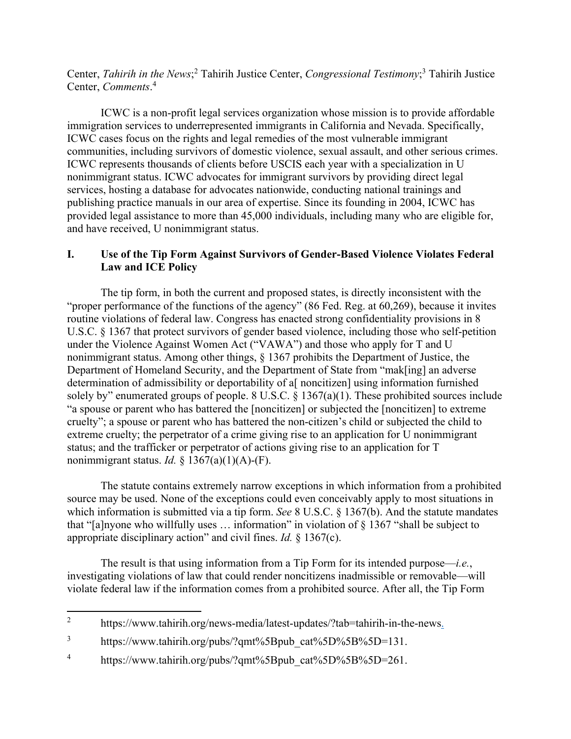Center, *Tahirih in the News*;<sup>2</sup> Tahirih Justice Center, *Congressional Testimony*;<sup>3</sup> Tahirih Justice Center, *Comments*. 4

ICWC is a non-profit legal services organization whose mission is to provide affordable immigration services to underrepresented immigrants in California and Nevada. Specifically, ICWC cases focus on the rights and legal remedies of the most vulnerable immigrant communities, including survivors of domestic violence, sexual assault, and other serious crimes. ICWC represents thousands of clients before USCIS each year with a specialization in U nonimmigrant status. ICWC advocates for immigrant survivors by providing direct legal services, hosting a database for advocates nationwide, conducting national trainings and publishing practice manuals in our area of expertise. Since its founding in 2004, ICWC has provided legal assistance to more than 45,000 individuals, including many who are eligible for, and have received, U nonimmigrant status.

## **I. Use of the Tip Form Against Survivors of Gender-Based Violence Violates Federal Law and ICE Policy**

 The tip form, in both the current and proposed states, is directly inconsistent with the "proper performance of the functions of the agency" (86 Fed. Reg. at 60,269), because it invites routine violations of federal law. Congress has enacted strong confidentiality provisions in 8 U.S.C. § 1367 that protect survivors of gender based violence, including those who self-petition under the Violence Against Women Act ("VAWA") and those who apply for T and U nonimmigrant status. Among other things, § 1367 prohibits the Department of Justice, the Department of Homeland Security, and the Department of State from "mak[ing] an adverse determination of admissibility or deportability of a<sup>[</sup> noncitizen] using information furnished solely by" enumerated groups of people. 8 U.S.C. § 1367(a)(1). These prohibited sources include "a spouse or parent who has battered the [noncitizen] or subjected the [noncitizen] to extreme cruelty"; a spouse or parent who has battered the non-citizen's child or subjected the child to extreme cruelty; the perpetrator of a crime giving rise to an application for U nonimmigrant status; and the trafficker or perpetrator of actions giving rise to an application for T nonimmigrant status. *Id.*  $\S$  1367(a)(1)(A)-(F).

 The statute contains extremely narrow exceptions in which information from a prohibited source may be used. None of the exceptions could even conceivably apply to most situations in which information is submitted via a tip form. *See* 8 U.S.C. § 1367(b). And the statute mandates that "[a]nyone who willfully uses  $\ldots$  information" in violation of  $\S$  1367 "shall be subject to appropriate disciplinary action" and civil fines. *Id.* § 1367(c).

The result is that using information from a Tip Form for its intended purpose—*i.e.*, investigating violations of law that could render noncitizens inadmissible or removable—will violate federal law if the information comes from a prohibited source. After all, the Tip Form

<sup>2</sup> https://www.tahirih.org/news-media/latest-updates/?tab=tahirih-in-the-news.

<sup>3</sup> https://www.tahirih.org/pubs/?qmt%5Bpub\_cat%5D%5B%5D=131.

<sup>4</sup> https://www.tahirih.org/pubs/?qmt%5Bpub\_cat%5D%5B%5D=261.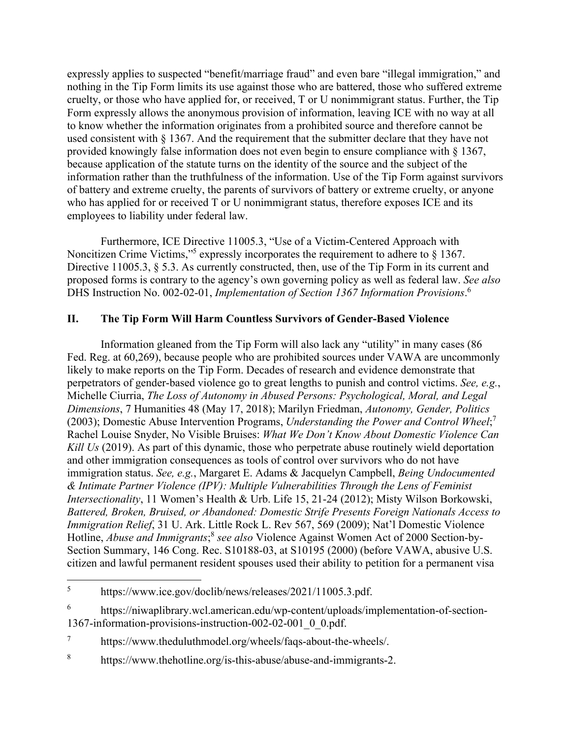expressly applies to suspected "benefit/marriage fraud" and even bare "illegal immigration," and nothing in the Tip Form limits its use against those who are battered, those who suffered extreme cruelty, or those who have applied for, or received, T or U nonimmigrant status. Further, the Tip Form expressly allows the anonymous provision of information, leaving ICE with no way at all to know whether the information originates from a prohibited source and therefore cannot be used consistent with § 1367. And the requirement that the submitter declare that they have not provided knowingly false information does not even begin to ensure compliance with § 1367, because application of the statute turns on the identity of the source and the subject of the information rather than the truthfulness of the information. Use of the Tip Form against survivors of battery and extreme cruelty, the parents of survivors of battery or extreme cruelty, or anyone who has applied for or received T or U nonimmigrant status, therefore exposes ICE and its employees to liability under federal law.

Furthermore, ICE Directive 11005.3, "Use of a Victim-Centered Approach with Noncitizen Crime Victims,"<sup>5</sup> expressly incorporates the requirement to adhere to § 1367. Directive 11005.3, § 5.3. As currently constructed, then, use of the Tip Form in its current and proposed forms is contrary to the agency's own governing policy as well as federal law. *See also* DHS Instruction No. 002-02-01, *Implementation of Section 1367 Information Provisions*. 6

# **II. The Tip Form Will Harm Countless Survivors of Gender-Based Violence**

Information gleaned from the Tip Form will also lack any "utility" in many cases (86 Fed. Reg. at 60,269), because people who are prohibited sources under VAWA are uncommonly likely to make reports on the Tip Form. Decades of research and evidence demonstrate that perpetrators of gender-based violence go to great lengths to punish and control victims. *See, e.g.*, Michelle Ciurria, *The Loss of Autonomy in Abused Persons: Psychological, Moral, and Legal Dimensions*, 7 Humanities 48 (May 17, 2018); Marilyn Friedman, *Autonomy, Gender, Politics* (2003); Domestic Abuse Intervention Programs, *Understanding the Power and Control Wheel*; 7 Rachel Louise Snyder, No Visible Bruises: *What We Don't Know About Domestic Violence Can Kill Us* (2019). As part of this dynamic, those who perpetrate abuse routinely wield deportation and other immigration consequences as tools of control over survivors who do not have immigration status. *See, e.g.*, Margaret E. Adams & Jacquelyn Campbell, *Being Undocumented & Intimate Partner Violence (IPV): Multiple Vulnerabilities Through the Lens of Feminist Intersectionality*, 11 Women's Health & Urb. Life 15, 21-24 (2012); Misty Wilson Borkowski, *Battered, Broken, Bruised, or Abandoned: Domestic Strife Presents Foreign Nationals Access to Immigration Relief*, 31 U. Ark. Little Rock L. Rev 567, 569 (2009); Nat'l Domestic Violence Hotline, *Abuse and Immigrants*; <sup>8</sup> *see also* Violence Against Women Act of 2000 Section-by-Section Summary, 146 Cong. Rec. S10188-03, at S10195 (2000) (before VAWA, abusive U.S. citizen and lawful permanent resident spouses used their ability to petition for a permanent visa

<sup>5</sup> https://www.ice.gov/doclib/news/releases/2021/11005.3.pdf.

<sup>6</sup> https://niwaplibrary.wcl.american.edu/wp-content/uploads/implementation-of-section-1367-information-provisions-instruction-002-02-001\_0\_0.pdf.

<sup>7</sup> https://www.theduluthmodel.org/wheels/faqs-about-the-wheels/.

<sup>8</sup> https://www.thehotline.org/is-this-abuse/abuse-and-immigrants-2.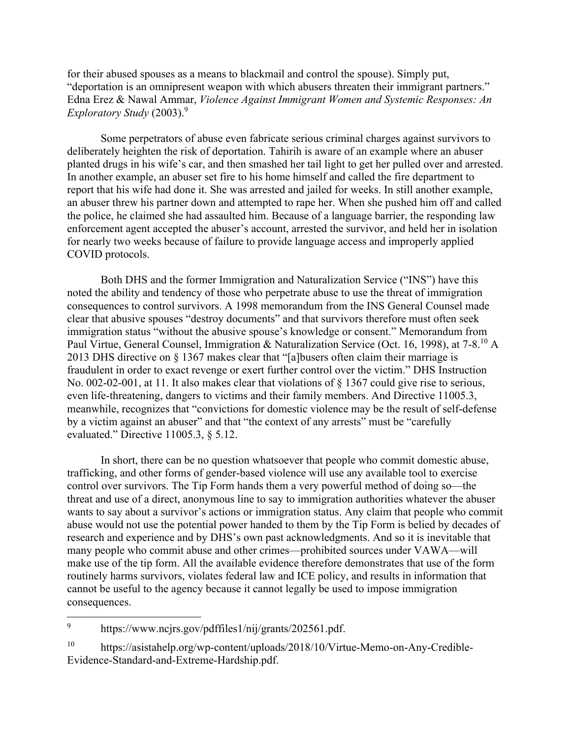for their abused spouses as a means to blackmail and control the spouse). Simply put, "deportation is an omnipresent weapon with which abusers threaten their immigrant partners." Edna Erez & Nawal Ammar, *Violence Against Immigrant Women and Systemic Responses: An Exploratory Study* (2003).9

Some perpetrators of abuse even fabricate serious criminal charges against survivors to deliberately heighten the risk of deportation. Tahirih is aware of an example where an abuser planted drugs in his wife's car, and then smashed her tail light to get her pulled over and arrested. In another example, an abuser set fire to his home himself and called the fire department to report that his wife had done it. She was arrested and jailed for weeks. In still another example, an abuser threw his partner down and attempted to rape her. When she pushed him off and called the police, he claimed she had assaulted him. Because of a language barrier, the responding law enforcement agent accepted the abuser's account, arrested the survivor, and held her in isolation for nearly two weeks because of failure to provide language access and improperly applied COVID protocols.

Both DHS and the former Immigration and Naturalization Service ("INS") have this noted the ability and tendency of those who perpetrate abuse to use the threat of immigration consequences to control survivors. A 1998 memorandum from the INS General Counsel made clear that abusive spouses "destroy documents" and that survivors therefore must often seek immigration status "without the abusive spouse's knowledge or consent." Memorandum from Paul Virtue, General Counsel, Immigration & Naturalization Service (Oct. 16, 1998), at 7-8.10 A 2013 DHS directive on § 1367 makes clear that "[a]busers often claim their marriage is fraudulent in order to exact revenge or exert further control over the victim." DHS Instruction No. 002-02-001, at 11. It also makes clear that violations of § 1367 could give rise to serious, even life-threatening, dangers to victims and their family members. And Directive 11005.3, meanwhile, recognizes that "convictions for domestic violence may be the result of self-defense by a victim against an abuser" and that "the context of any arrests" must be "carefully evaluated." Directive 11005.3, § 5.12.

In short, there can be no question whatsoever that people who commit domestic abuse, trafficking, and other forms of gender-based violence will use any available tool to exercise control over survivors. The Tip Form hands them a very powerful method of doing so—the threat and use of a direct, anonymous line to say to immigration authorities whatever the abuser wants to say about a survivor's actions or immigration status. Any claim that people who commit abuse would not use the potential power handed to them by the Tip Form is belied by decades of research and experience and by DHS's own past acknowledgments. And so it is inevitable that many people who commit abuse and other crimes—prohibited sources under VAWA—will make use of the tip form. All the available evidence therefore demonstrates that use of the form routinely harms survivors, violates federal law and ICE policy, and results in information that cannot be useful to the agency because it cannot legally be used to impose immigration consequences.

<sup>9</sup> https://www.ncjrs.gov/pdffiles1/nij/grants/202561.pdf.

<sup>10</sup> https://asistahelp.org/wp-content/uploads/2018/10/Virtue-Memo-on-Any-Credible-Evidence-Standard-and-Extreme-Hardship.pdf.